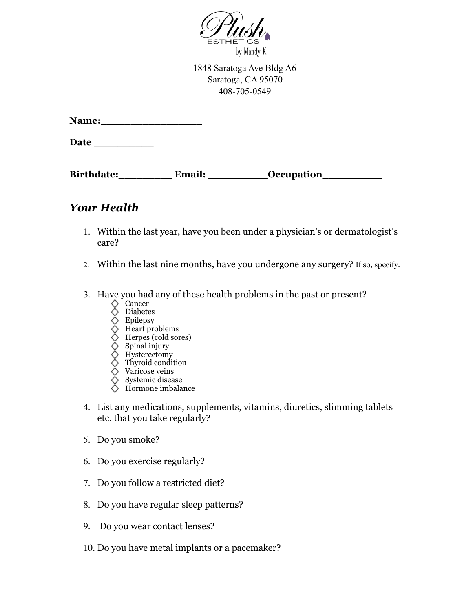

1848 Saratoga Ave Bldg A6 Saratoga, CA 95070 408-705-0549

| <b>Name:</b> |  |  |
|--------------|--|--|
|              |  |  |

**Date** \_\_\_\_\_\_\_\_\_\_

Birthdate: Email: Compation

## *Your Health*

- 1. Within the last year, have you been under a physician's or dermatologist's care?
- 2. Within the last nine months, have you undergone any surgery? If so, specify.
- 3. Have you had any of these health problems in the past or present?
	- $\Diamond$  Cancer
	- Diabetes
	- Epilepsy
	- Heart problems
	- Herpes (cold sores)
	- Spinal injury
	- Hysterectomy Thyroid condition
	- Varicose veins
	- Systemic disease
	- Hormone imbalance
- 4. List any medications, supplements, vitamins, diuretics, slimming tablets etc. that you take regularly?
- 5. Do you smoke?
- 6. Do you exercise regularly?
- 7. Do you follow a restricted diet?
- 8. Do you have regular sleep patterns?
- 9. Do you wear contact lenses?
- 10. Do you have metal implants or a pacemaker?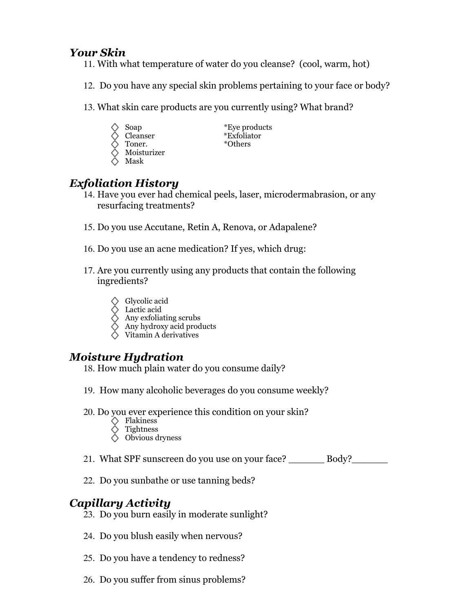### *Your Skin*

- 11. With what temperature of water do you cleanse? (cool, warm, hot)
- 12. Do you have any special skin problems pertaining to your face or body?
- 13. What skin care products are you currently using? What brand?
	-
	-
	- Toner. \*Others
- Soap \*Eye products Cleanser \*Exfoliator
	- Moisturizer
	- Mask

## *Exfoliation History*

- 14. Have you ever had chemical peels, laser, microdermabrasion, or any resurfacing treatments?
- 15. Do you use Accutane, Retin A, Renova, or Adapalene?
- 16. Do you use an acne medication? If yes, which drug:
- 17. Are you currently using any products that contain the following ingredients?
	- Glycolic acid
	- Lactic acid
	- Any exfoliating scrubs
	- Any hydroxy acid products
	- Vitamin A derivatives

#### *Moisture Hydration*

- 18. How much plain water do you consume daily?
- 19. How many alcoholic beverages do you consume weekly?
- 20. Do you ever experience this condition on your skin?
	- $\Diamond$  Flakiness
	- Tightness
	- Obvious dryness
- 21. What SPF sunscreen do you use on your face? \_\_\_\_\_\_ Body?\_\_\_\_\_\_
- 22. Do you sunbathe or use tanning beds?

## *Capillary Activity*

- 23. Do you burn easily in moderate sunlight?
- 24. Do you blush easily when nervous?
- 25. Do you have a tendency to redness?
- 26. Do you suffer from sinus problems?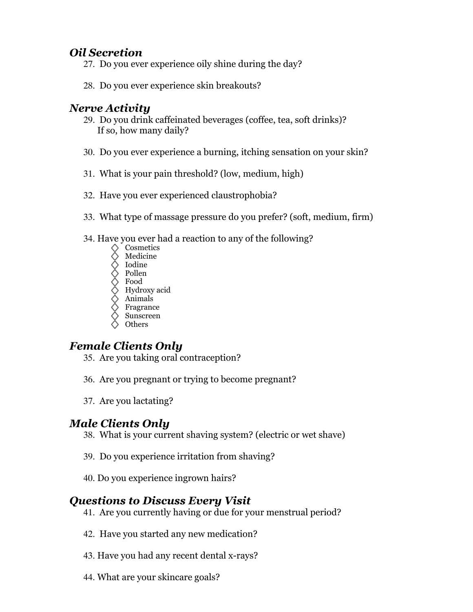### *Oil Secretion*

- 27. Do you ever experience oily shine during the day?
- 28. Do you ever experience skin breakouts?

#### *Nerve Activity*

- 29. Do you drink caffeinated beverages (coffee, tea, soft drinks)? If so, how many daily?
- 30. Do you ever experience a burning, itching sensation on your skin?
- 31. What is your pain threshold? (low, medium, high)
- 32. Have you ever experienced claustrophobia?
- 33. What type of massage pressure do you prefer? (soft, medium, firm)
- 34. Have you ever had a reaction to any of the following?
	- Cosmetics
	- Medicine
	- Iodine
	- Pollen
	- Food
	- Hydroxy acid Animals
	- Fragrance
	- Sunscreen
	- **Others**

## *Female Clients Only*

- 35. Are you taking oral contraception?
- 36. Are you pregnant or trying to become pregnant?
- 37. Are you lactating?

## *Male Clients Only*

- 38. What is your current shaving system? (electric or wet shave)
- 39. Do you experience irritation from shaving?
- 40. Do you experience ingrown hairs?

## *Questions to Discuss Every Visit*

- 41. Are you currently having or due for your menstrual period?
- 42. Have you started any new medication?
- 43. Have you had any recent dental x-rays?
- 44. What are your skincare goals?